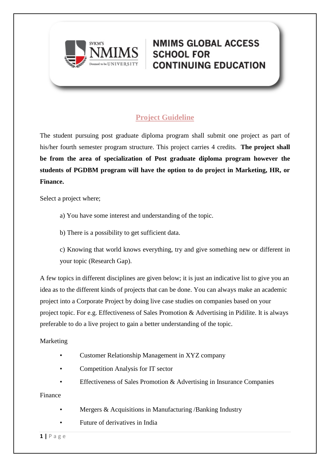

### **Project Guideline**

The student pursuing post graduate diploma program shall submit one project as part of his/her fourth semester program structure. This project carries 4 credits. **The project shall be from the area of specialization of Post graduate diploma program however the students of PGDBM program will have the option to do project in Marketing, HR, or Finance.**

Select a project where;

a) You have some interest and understanding of the topic.

b) There is a possibility to get sufficient data.

c) Knowing that world knows everything, try and give something new or different in your topic (Research Gap).

A few topics in different disciplines are given below; it is just an indicative list to give you an idea as to the different kinds of projects that can be done. You can always make an academic project into a Corporate Project by doing live case studies on companies based on your project topic. For e.g. Effectiveness of Sales Promotion & Advertising in Pidilite. It is always preferable to do a live project to gain a better understanding of the topic.

#### Marketing

- Customer Relationship Management in XYZ company
- Competition Analysis for IT sector
- Effectiveness of Sales Promotion & Advertising in Insurance Companies

Finance

- Mergers & Acquisitions in Manufacturing /Banking Industry
- Future of derivatives in India

**1 |** P a g e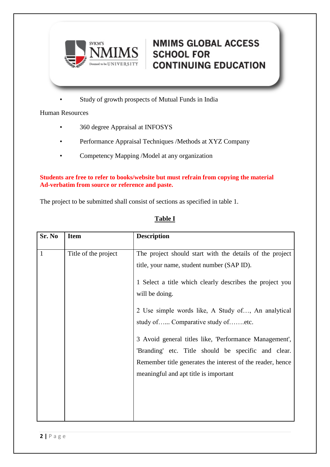

• Study of growth prospects of Mutual Funds in India

Human Resources

- 360 degree Appraisal at INFOSYS
- Performance Appraisal Techniques /Methods at XYZ Company
- Competency Mapping /Model at any organization

#### **Students are free to refer to books/website but must refrain from copying the material Ad-verbatim from source or reference and paste.**

The project to be submitted shall consist of sections as specified in table 1.

### **Table I**

| Sr. No       | <b>Item</b>          | <b>Description</b>                                                                                                                                                                                                                                                                                                                                                                                                                                                                                      |
|--------------|----------------------|---------------------------------------------------------------------------------------------------------------------------------------------------------------------------------------------------------------------------------------------------------------------------------------------------------------------------------------------------------------------------------------------------------------------------------------------------------------------------------------------------------|
| $\mathbf{1}$ | Title of the project | The project should start with the details of the project<br>title, your name, student number (SAP ID).<br>1 Select a title which clearly describes the project you<br>will be doing.<br>2 Use simple words like, A Study of, An analytical<br>study of Comparative study ofetc.<br>3 Avoid general titles like, 'Performance Management',<br>'Branding' etc. Title should be specific and clear.<br>Remember title generates the interest of the reader, hence<br>meaningful and apt title is important |
|              |                      |                                                                                                                                                                                                                                                                                                                                                                                                                                                                                                         |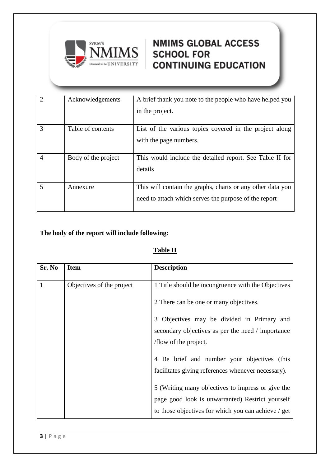

| $\overline{2}$           | Acknowledgements    | A brief thank you note to the people who have helped you<br>in the project.                                         |
|--------------------------|---------------------|---------------------------------------------------------------------------------------------------------------------|
| 3                        | Table of contents   | List of the various topics covered in the project along<br>with the page numbers.                                   |
| $\overline{4}$           | Body of the project | This would include the detailed report. See Table II for<br>details                                                 |
| $\overline{\mathcal{L}}$ | Annexure            | This will contain the graphs, charts or any other data you<br>need to attach which serves the purpose of the report |

### **The body of the report will include following:**

### **Table II**

| Sr. No | <b>Item</b>               | <b>Description</b>                                          |
|--------|---------------------------|-------------------------------------------------------------|
|        | Objectives of the project | 1 Title should be incongruence with the Objectives          |
|        |                           | 2 There can be one or many objectives.                      |
|        |                           | Objectives may be divided in Primary and<br>3               |
|        |                           | secondary objectives as per the need / importance           |
|        |                           | /flow of the project.                                       |
|        |                           | Be brief and number your objectives (this<br>$\overline{4}$ |
|        |                           | facilitates giving references whenever necessary).          |
|        |                           | 5 (Writing many objectives to impress or give the           |
|        |                           | page good look is unwarranted) Restrict yourself            |
|        |                           | to those objectives for which you can achieve / get         |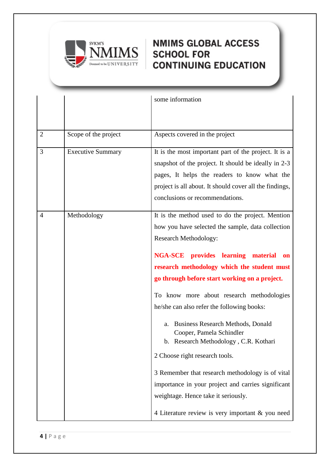

|                |                          | some information                                                                                                                                                                                                                                                                                                                                                                                                                                                                                                                                                                                                                                                                                                                                            |
|----------------|--------------------------|-------------------------------------------------------------------------------------------------------------------------------------------------------------------------------------------------------------------------------------------------------------------------------------------------------------------------------------------------------------------------------------------------------------------------------------------------------------------------------------------------------------------------------------------------------------------------------------------------------------------------------------------------------------------------------------------------------------------------------------------------------------|
|                |                          |                                                                                                                                                                                                                                                                                                                                                                                                                                                                                                                                                                                                                                                                                                                                                             |
| $\overline{2}$ | Scope of the project     | Aspects covered in the project                                                                                                                                                                                                                                                                                                                                                                                                                                                                                                                                                                                                                                                                                                                              |
| 3              | <b>Executive Summary</b> | It is the most important part of the project. It is a<br>snapshot of the project. It should be ideally in 2-3<br>pages, It helps the readers to know what the<br>project is all about. It should cover all the findings,<br>conclusions or recommendations.                                                                                                                                                                                                                                                                                                                                                                                                                                                                                                 |
| $\overline{4}$ | Methodology              | It is the method used to do the project. Mention<br>how you have selected the sample, data collection<br><b>Research Methodology:</b><br><b>NGA-SCE</b> provides learning<br>material<br><b>on</b><br>research methodology which the student must<br>go through before start working on a project.<br>To know more about research methodologies<br>he/she can also refer the following books:<br><b>Business Research Methods, Donald</b><br>a.<br>Cooper, Pamela Schindler<br>b. Research Methodology, C.R. Kothari<br>2 Choose right research tools.<br>3 Remember that research methodology is of vital<br>importance in your project and carries significant<br>weightage. Hence take it seriously.<br>4 Literature review is very important & you need |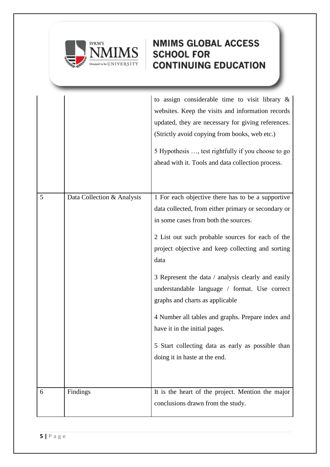

|   |                            | to assign considerable time to visit library $\&$<br>websites. Keep the visits and information records<br>updated, they are necessary for giving references.<br>(Strictly avoid copying from books, web etc.)<br>5 Hypothesis , test rightfully if you choose to go<br>ahead with it. Tools and data collection process.                                                                                                                                                                                                                                                                |
|---|----------------------------|-----------------------------------------------------------------------------------------------------------------------------------------------------------------------------------------------------------------------------------------------------------------------------------------------------------------------------------------------------------------------------------------------------------------------------------------------------------------------------------------------------------------------------------------------------------------------------------------|
| 5 | Data Collection & Analysis | 1 For each objective there has to be a supportive<br>data collected, from either primary or secondary or<br>in some cases from both the sources.<br>2 List out such probable sources for each of the<br>project objective and keep collecting and sorting<br>data<br>3 Represent the data / analysis clearly and easily<br>understandable language / format. Use correct<br>graphs and charts as applicable<br>4 Number all tables and graphs. Prepare index and<br>have it in the initial pages.<br>5 Start collecting data as early as possible than<br>doing it in haste at the end. |
| 6 | Findings                   | It is the heart of the project. Mention the major<br>conclusions drawn from the study.                                                                                                                                                                                                                                                                                                                                                                                                                                                                                                  |